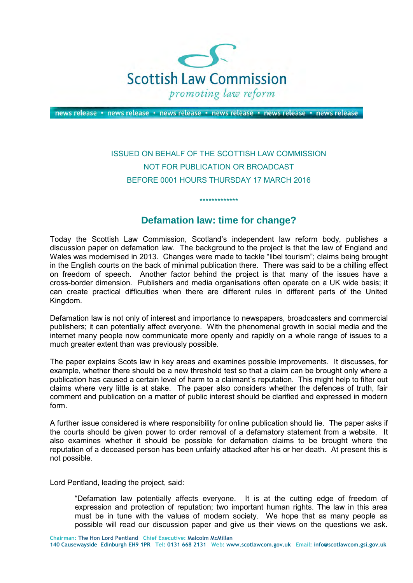

news release • news release • news release • news release • news release • news release

## ISSUED ON BEHALF OF THE SCOTTISH LAW COMMISSION NOT FOR PUBLICATION OR BROADCAST BEFORE 0001 HOURS THURSDAY 17 MARCH 2016

## **Defamation law: time for change?**

\*\*\*\*\*\*\*\*\*\*\*\*\*

Today the Scottish Law Commission, Scotland's independent law reform body, publishes a discussion paper on defamation law. The background to the project is that the law of England and Wales was modernised in 2013. Changes were made to tackle "libel tourism"; claims being brought in the English courts on the back of minimal publication there. There was said to be a chilling effect on freedom of speech. Another factor behind the project is that many of the issues have a cross-border dimension. Publishers and media organisations often operate on a UK wide basis; it can create practical difficulties when there are different rules in different parts of the United Kingdom.

Defamation law is not only of interest and importance to newspapers, broadcasters and commercial publishers; it can potentially affect everyone. With the phenomenal growth in social media and the internet many people now communicate more openly and rapidly on a whole range of issues to a much greater extent than was previously possible.

The paper explains Scots law in key areas and examines possible improvements. It discusses, for example, whether there should be a new threshold test so that a claim can be brought only where a publication has caused a certain level of harm to a claimant's reputation. This might help to filter out claims where very little is at stake. The paper also considers whether the defences of truth, fair comment and publication on a matter of public interest should be clarified and expressed in modern form.

A further issue considered is where responsibility for online publication should lie. The paper asks if the courts should be given power to order removal of a defamatory statement from a website. It also examines whether it should be possible for defamation claims to be brought where the reputation of a deceased person has been unfairly attacked after his or her death. At present this is not possible.

Lord Pentland, leading the project, said:

"Defamation law potentially affects everyone. It is at the cutting edge of freedom of expression and protection of reputation; two important human rights. The law in this area must be in tune with the values of modern society. We hope that as many people as possible will read our discussion paper and give us their views on the questions we ask.

**Chairman: The Hon Lord Pentland Chief Executive: Malcolm McMillan 140 Causewayside Edinburgh EH9 1PR Tel: 0131 668 2131 Web: www.scotlawcom.gov.uk Email: info@scotlawcom.gsi.gov.uk**